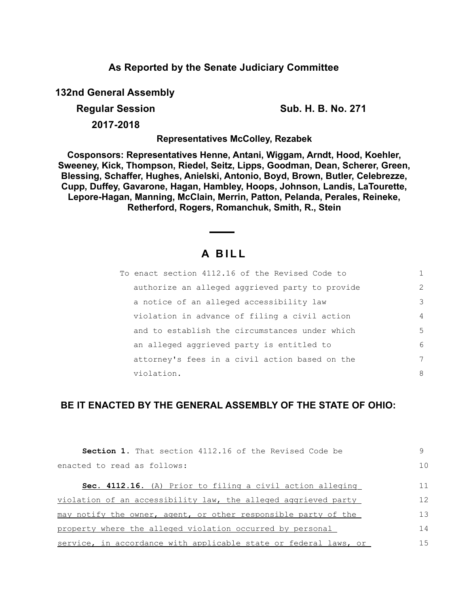### **As Reported by the Senate Judiciary Committee**

**132nd General Assembly**

**Regular Session Sub. H. B. No. 271**

**2017-2018**

**Representatives McColley, Rezabek**

**Cosponsors: Representatives Henne, Antani, Wiggam, Arndt, Hood, Koehler, Sweeney, Kick, Thompson, Riedel, Seitz, Lipps, Goodman, Dean, Scherer, Green, Blessing, Schaffer, Hughes, Anielski, Antonio, Boyd, Brown, Butler, Celebrezze, Cupp, Duffey, Gavarone, Hagan, Hambley, Hoops, Johnson, Landis, LaTourette, Lepore-Hagan, Manning, McClain, Merrin, Patton, Pelanda, Perales, Reineke, Retherford, Rogers, Romanchuk, Smith, R., Stein**

# **A B I L L**

| To enact section 4112.16 of the Revised Code to |                |
|-------------------------------------------------|----------------|
| authorize an alleged aggrieved party to provide | $\mathcal{L}$  |
| a notice of an alleged accessibility law        | 3              |
| violation in advance of filing a civil action   | $\overline{4}$ |
| and to establish the circumstances under which  | 5              |
| an alleged aggrieved party is entitled to       | 6              |
| attorney's fees in a civil action based on the  | 7              |
| violation.                                      | 8              |

## **BE IT ENACTED BY THE GENERAL ASSEMBLY OF THE STATE OF OHIO:**

| <b>Section 1.</b> That section 4112.16 of the Revised Code be    | 9              |
|------------------------------------------------------------------|----------------|
| enacted to read as follows:                                      | 1 <sub>0</sub> |
| Sec. 4112.16. (A) Prior to filing a civil action alleging        | 11             |
| violation of an accessibility law, the alleged aggrieved party   | 12             |
| may notify the owner, agent, or other responsible party of the   | 13             |
| property where the alleged violation occurred by personal        | 14             |
| service, in accordance with applicable state or federal laws, or | 15             |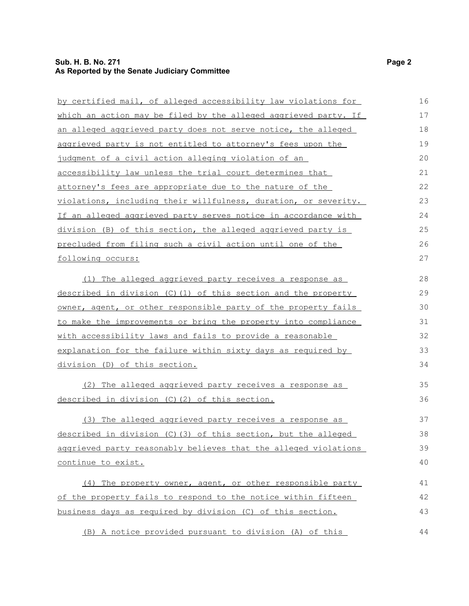#### **Sub. H. B. No. 271 Page 2 As Reported by the Senate Judiciary Committee**

| by certified mail, of alleged accessibility law violations for  | 16 |
|-----------------------------------------------------------------|----|
| which an action may be filed by the alleged aggrieved party. If | 17 |
| an alleged aggrieved party does not serve notice, the alleged   | 18 |
| aggrieved party is not entitled to attorney's fees upon the     | 19 |
| judgment of a civil action alleging violation of an             | 20 |
| accessibility law unless the trial court determines that        | 21 |
| attorney's fees are appropriate due to the nature of the        | 22 |
| violations, including their willfulness, duration, or severity. | 23 |
| If an alleged aggrieved party serves notice in accordance with  | 24 |
| division (B) of this section, the alleged aggrieved party is    | 25 |
| precluded from filing such a civil action until one of the      | 26 |
| following occurs:                                               | 27 |
| (1) The alleged aggrieved party receives a response as          | 28 |
| described in division (C)(1) of this section and the property   | 29 |
| owner, agent, or other responsible party of the property fails  | 30 |
| to make the improvements or bring the property into compliance  | 31 |
| with accessibility laws and fails to provide a reasonable       | 32 |
| explanation for the failure within sixty days as required by    | 33 |
| division (D) of this section.                                   | 34 |
| (2) The alleged aggrieved party receives a response as          | 35 |
| described in division (C) (2) of this section.                  | 36 |
| (3) The alleged aggrieved party receives a response as          | 37 |
| described in division (C)(3) of this section, but the alleged   | 38 |
| aggrieved party reasonably believes that the alleged violations | 39 |
| continue to exist.                                              | 40 |
| (4) The property owner, agent, or other responsible party       | 41 |
| of the property fails to respond to the notice within fifteen   | 42 |
| business days as required by division (C) of this section.      | 43 |
| (B) A notice provided pursuant to division (A) of this          | 44 |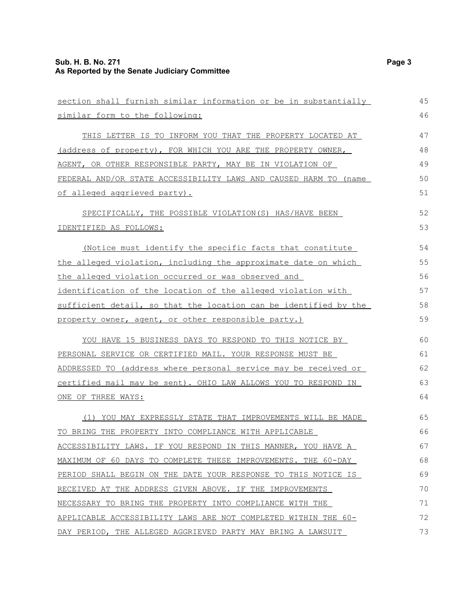| section shall furnish similar information or be in substantially      | 45 |
|-----------------------------------------------------------------------|----|
| similar form to the following:                                        | 46 |
| THIS LETTER IS TO INFORM YOU THAT THE PROPERTY LOCATED AT             | 47 |
| (address of property), FOR WHICH YOU ARE THE PROPERTY OWNER,          | 48 |
| AGENT, OR OTHER RESPONSIBLE PARTY, MAY BE IN VIOLATION OF             | 49 |
| FEDERAL AND/OR STATE ACCESSIBILITY LAWS AND CAUSED HARM TO (name      | 50 |
| of alleged aggrieved party).                                          | 51 |
| SPECIFICALLY, THE POSSIBLE VIOLATION(S) HAS/HAVE BEEN                 | 52 |
| IDENTIFIED AS FOLLOWS:                                                | 53 |
| (Notice must identify the specific facts that constitute              | 54 |
| the alleged violation, including the approximate date on which        | 55 |
| <u>the alleged violation occurred or was observed and</u>             | 56 |
| identification of the location of the alleged violation with          | 57 |
| sufficient detail, so that the location can be identified by the      | 58 |
| property owner, agent, or other responsible party.)                   | 59 |
| YOU HAVE 15 BUSINESS DAYS TO RESPOND TO THIS NOTICE BY                | 60 |
| PERSONAL SERVICE OR CERTIFIED MAIL. YOUR RESPONSE MUST BE             | 61 |
| ADDRESSED TO (address where personal service may be received or       | 62 |
| <u>certified mail may be sent). OHIO LAW ALLOWS YOU TO RESPOND IN</u> | 63 |
| ONE OF THREE WAYS:                                                    | 64 |
| (1) YOU MAY EXPRESSLY STATE THAT IMPROVEMENTS WILL BE MADE            | 65 |
| TO BRING THE PROPERTY INTO COMPLIANCE WITH APPLICABLE                 | 66 |
| ACCESSIBILITY LAWS. IF YOU RESPOND IN THIS MANNER, YOU HAVE A         | 67 |
| MAXIMUM OF 60 DAYS TO COMPLETE THESE IMPROVEMENTS. THE 60-DAY         | 68 |
| PERIOD SHALL BEGIN ON THE DATE YOUR RESPONSE TO THIS NOTICE IS        | 69 |
| RECEIVED AT THE ADDRESS GIVEN ABOVE. IF THE IMPROVEMENTS              | 70 |
| NECESSARY TO BRING THE PROPERTY INTO COMPLIANCE WITH THE              | 71 |
| APPLICABLE ACCESSIBILITY LAWS ARE NOT COMPLETED WITHIN THE 60-        | 72 |
| DAY PERIOD, THE ALLEGED AGGRIEVED PARTY MAY BRING A LAWSUIT           | 73 |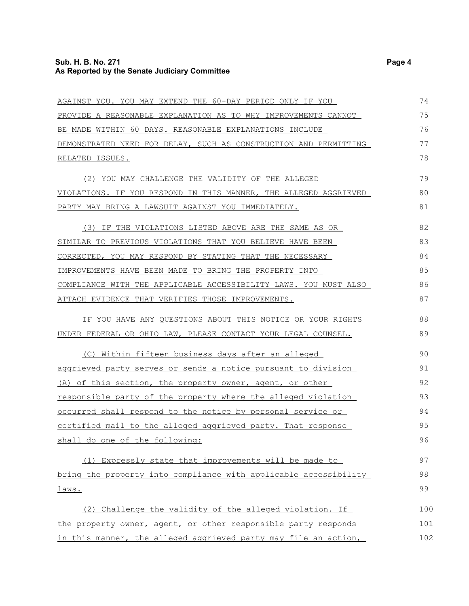| AGAINST YOU. YOU MAY EXTEND THE 60-DAY PERIOD ONLY IF YOU            | 74  |
|----------------------------------------------------------------------|-----|
| PROVIDE A REASONABLE EXPLANATION AS TO WHY IMPROVEMENTS CANNOT       | 75  |
| BE MADE WITHIN 60 DAYS. REASONABLE EXPLANATIONS INCLUDE              | 76  |
| DEMONSTRATED NEED FOR DELAY, SUCH AS CONSTRUCTION AND PERMITTING     | 77  |
| RELATED ISSUES.                                                      | 78  |
| (2) YOU MAY CHALLENGE THE VALIDITY OF THE ALLEGED                    | 79  |
| VIOLATIONS. IF YOU RESPOND IN THIS MANNER, THE ALLEGED AGGRIEVED     | 80  |
| PARTY MAY BRING A LAWSUIT AGAINST YOU IMMEDIATELY.                   | 81  |
| (3) IF THE VIOLATIONS LISTED ABOVE ARE THE SAME AS OR                | 82  |
| SIMILAR TO PREVIOUS VIOLATIONS THAT YOU BELIEVE HAVE BEEN            | 83  |
| CORRECTED, YOU MAY RESPOND BY STATING THAT THE NECESSARY             | 84  |
| IMPROVEMENTS HAVE BEEN MADE TO BRING THE PROPERTY INTO               | 85  |
| COMPLIANCE WITH THE APPLICABLE ACCESSIBILITY LAWS. YOU MUST ALSO     | 86  |
| ATTACH EVIDENCE THAT VERIFIES THOSE IMPROVEMENTS.                    | 87  |
| IF YOU HAVE ANY QUESTIONS ABOUT THIS NOTICE OR YOUR RIGHTS           | 88  |
| UNDER FEDERAL OR OHIO LAW, PLEASE CONTACT YOUR LEGAL COUNSEL.        | 89  |
| (C) Within fifteen business days after an alleged                    | 90  |
| aggrieved party serves or sends a notice pursuant to division        | 91  |
| (A) of this section, the property owner, agent, or other             | 92  |
| <u>responsible party of the property where the alleged violation</u> | 93  |
| occurred shall respond to the notice by personal service or          | 94  |
| <u>certified mail to the alleged aggrieved party. That response</u>  | 95  |
| shall do one of the following:                                       | 96  |
| (1) Expressly state that improvements will be made to                | 97  |
| bring the property into compliance with applicable accessibility     | 98  |
| laws.                                                                | 99  |
| (2) Challenge the validity of the alleged violation. If              | 100 |
| the property owner, agent, or other responsible party responds       | 101 |
| in this manner, the alleged aggrieved party may file an action,      | 102 |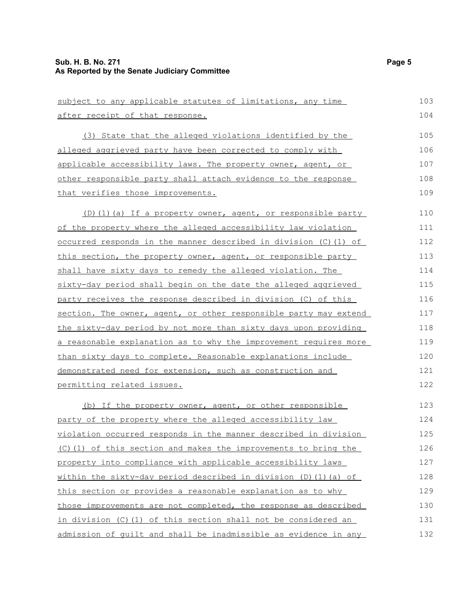| subject to any applicable statutes of limitations, any time             | 103 |
|-------------------------------------------------------------------------|-----|
| after receipt of that response.                                         | 104 |
| (3) State that the alleged violations identified by the                 | 105 |
| alleged aggrieved party have been corrected to comply with              | 106 |
| applicable accessibility laws. The property owner, agent, or            | 107 |
| other responsible party shall attach evidence to the response           | 108 |
| that verifies those improvements.                                       | 109 |
| (D)(1)(a) If a property owner, agent, or responsible party              | 110 |
| of the property where the alleged accessibility law violation           | 111 |
| <u>occurred responds in the manner described in division (C)(1) of</u>  | 112 |
| this section, the property owner, agent, or responsible party           | 113 |
| shall have sixty days to remedy the alleged violation. The              | 114 |
| sixty-day period shall begin on the date the alleged aggrieved          | 115 |
| party receives the response described in division (C) of this           | 116 |
| section. The owner, agent, or other responsible party may extend        | 117 |
| the sixty-day period by not more than sixty days upon providing         | 118 |
| <u>a reasonable explanation as to why the improvement requires more</u> | 119 |
| than sixty days to complete. Reasonable explanations include            | 120 |
| demonstrated need for extension, such as construction and               | 121 |
| permitting related issues.                                              | 122 |
| (b) If the property owner, agent, or other responsible                  | 123 |
| party of the property where the alleged accessibility law               | 124 |
| violation occurred responds in the manner described in division         | 125 |
| (C)(1) of this section and makes the improvements to bring the          | 126 |
| property into compliance with applicable accessibility laws             | 127 |
| within the sixty-day period described in division (D)(1)(a) of          | 128 |
| this section or provides a reasonable explanation as to why             | 129 |
| those improvements are not completed, the response as described         | 130 |
| in division (C)(1) of this section shall not be considered an           | 131 |
| admission of quilt and shall be inadmissible as evidence in any         | 132 |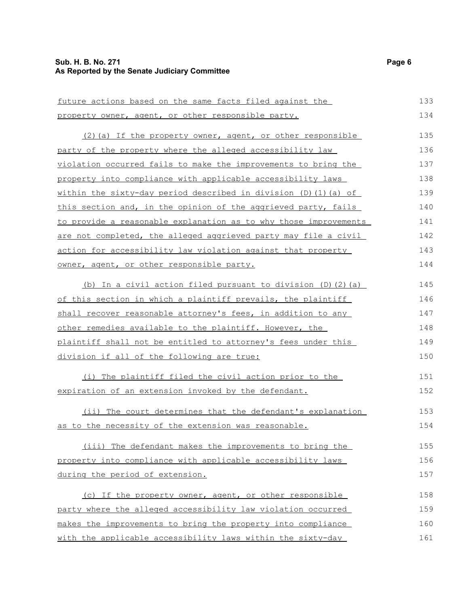| future actions based on the same facts filed against the               | 133 |
|------------------------------------------------------------------------|-----|
| property owner, agent, or other responsible party.                     | 134 |
| (2) (a) If the property owner, agent, or other responsible             | 135 |
| party of the property where the alleged accessibility law              | 136 |
| violation occurred fails to make the improvements to bring the         | 137 |
| property into compliance with applicable accessibility laws            | 138 |
| within the sixty-day period described in division $(D)$ $(1)$ $(a)$ of | 139 |
| this section and, in the opinion of the aggrieved party, fails         | 140 |
| to provide a reasonable explanation as to why those improvements       | 141 |
| are not completed, the alleged aggrieved party may file a civil        | 142 |
| action for accessibility law violation against that property           | 143 |
| owner, agent, or other responsible party.                              | 144 |
| (b) In a civil action filed pursuant to division (D) (2) (a)           | 145 |
| of this section in which a plaintiff prevails, the plaintiff           | 146 |
| shall recover reasonable attorney's fees, in addition to any           | 147 |
| other remedies available to the plaintiff. However, the                | 148 |
| plaintiff shall not be entitled to attorney's fees under this          | 149 |
| division if all of the following are true:                             | 150 |
| (i) The plaintiff filed the civil action prior to the                  | 151 |
| expiration of an extension invoked by the defendant.                   | 152 |
| (ii) The court determines that the defendant's explanation             | 153 |
| as to the necessity of the extension was reasonable.                   | 154 |
| (iii) The defendant makes the improvements to bring the                | 155 |
| property into compliance with applicable accessibility laws            | 156 |
| during the period of extension.                                        | 157 |
| (c) If the property owner, agent, or other responsible                 | 158 |
| party where the alleged accessibility law violation occurred           | 159 |
| makes the improvements to bring the property into compliance           | 160 |
| with the applicable accessibility laws within the sixty-day            | 161 |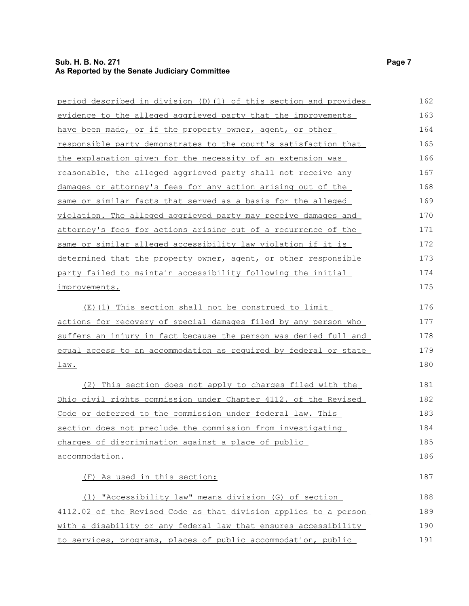#### **Sub. H. B. No. 271 Page 7 As Reported by the Senate Judiciary Committee**

| period described in division (D)(1) of this section and provides | 162 |
|------------------------------------------------------------------|-----|
| evidence to the alleged aggrieved party that the improvements    | 163 |
| have been made, or if the property owner, agent, or other        | 164 |
| responsible party demonstrates to the court's satisfaction that  | 165 |
| the explanation given for the necessity of an extension was      | 166 |
| reasonable, the alleged aggrieved party shall not receive any    | 167 |
| damages or attorney's fees for any action arising out of the     | 168 |
| same or similar facts that served as a basis for the alleged     | 169 |
| violation. The alleged aggrieved party may receive damages and   | 170 |
| attorney's fees for actions arising out of a recurrence of the   | 171 |
| same or similar alleged accessibility law violation if it is     | 172 |
| determined that the property owner, agent, or other responsible  | 173 |
| party failed to maintain accessibility following the initial     | 174 |
| improvements.                                                    | 175 |
| (E)(1) This section shall not be construed to limit              | 176 |
| actions for recovery of special damages filed by any person who  | 177 |
| suffers an injury in fact because the person was denied full and | 178 |
| equal access to an accommodation as required by federal or state | 179 |
| <u>law.</u>                                                      | 180 |
| (2) This section does not apply to charges filed with the        | 181 |
| Ohio civil rights commission under Chapter 4112. of the Revised  | 182 |
| Code or deferred to the commission under federal law. This       | 183 |
| section does not preclude the commission from investigating      | 184 |
| charges of discrimination against a place of public              | 185 |
| accommodation.                                                   | 186 |
| (F) As used in this section:                                     | 187 |
| (1) "Accessibility law" means division (G) of section            | 188 |
| 4112.02 of the Revised Code as that division applies to a person | 189 |
| with a disability or any federal law that ensures accessibility  | 190 |
| to services, programs, places of public accommodation, public    | 191 |